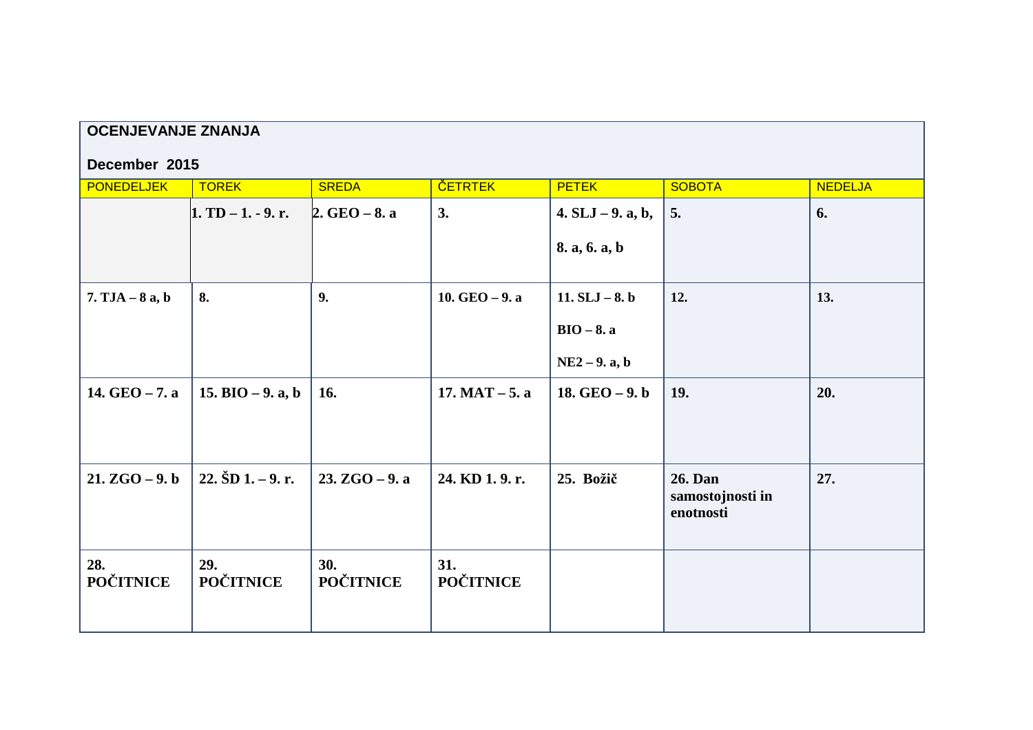| <b>OCENJEVANJE ZNANJA</b> |                            |                         |                         |                     |                                          |                |  |  |  |  |  |
|---------------------------|----------------------------|-------------------------|-------------------------|---------------------|------------------------------------------|----------------|--|--|--|--|--|
| December 2015             |                            |                         |                         |                     |                                          |                |  |  |  |  |  |
| <b>PONEDELJEK</b>         | <b>TOREK</b>               | <b>SREDA</b>            | <b>ČETRTEK</b>          | <b>PETEK</b>        | <b>SOBOTA</b>                            | <b>NEDELJA</b> |  |  |  |  |  |
|                           | $1. TD - 1. - 9. r.$       | $2.$ GEO $-8.$ a        | 3.                      | $4. SLJ - 9. a, b,$ | 5.                                       | 6.             |  |  |  |  |  |
|                           |                            |                         |                         | 8. a, 6. a, b       |                                          |                |  |  |  |  |  |
| $7. TJA - 8a, b$          | 8.                         | 9.                      | 10. $GEO - 9.$ a        | 11. $SLJ - 8. b$    | 12.                                      | 13.            |  |  |  |  |  |
|                           |                            |                         |                         | $BIO - 8. a$        |                                          |                |  |  |  |  |  |
|                           |                            |                         |                         | $NE2 - 9.$ a, b     |                                          |                |  |  |  |  |  |
| 14. GEO - 7. a            | 15. BIO $-9$ . a, b        | 16.                     | $17. MAT - 5. a$        | 18. $GEO - 9. b$    | 19.                                      | 20.            |  |  |  |  |  |
| $21. ZGO - 9. b$          | $22. \check{S}D1. - 9. r.$ | $23. ZGO - 9. a$        | 24. KD 1.9. r.          | 25. Božič           | 26. Dan<br>samostojnosti in<br>enotnosti | 27.            |  |  |  |  |  |
| 28.<br><b>POČITNICE</b>   | 29.<br><b>POČITNICE</b>    | 30.<br><b>POČITNICE</b> | 31.<br><b>POČITNICE</b> |                     |                                          |                |  |  |  |  |  |